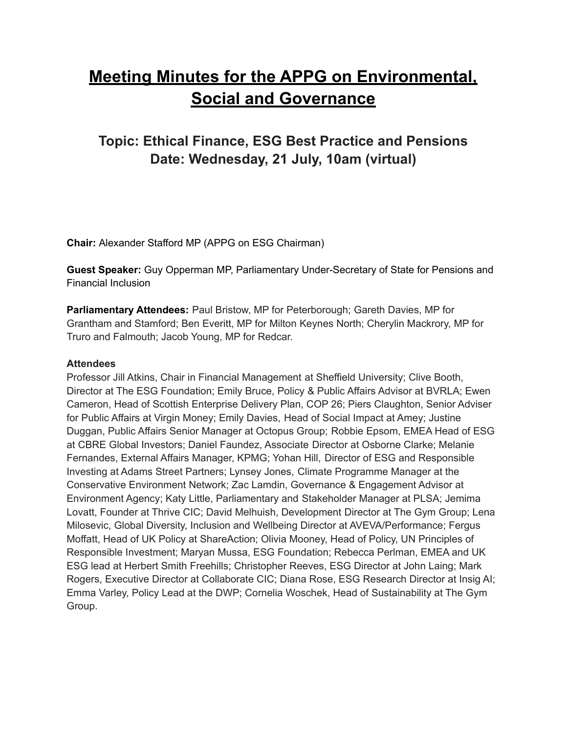# **Meeting Minutes for the APPG on Environmental, Social and Governance**

# **Topic: Ethical Finance, ESG Best Practice and Pensions Date: Wednesday, 21 July, 10am (virtual)**

**Chair:** Alexander Stafford MP (APPG on ESG Chairman)

**Guest Speaker:** Guy Opperman MP, Parliamentary Under-Secretary of State for Pensions and Financial Inclusion

**Parliamentary Attendees:** Paul Bristow, MP for Peterborough; Gareth Davies, MP for Grantham and Stamford; Ben Everitt, MP for Milton Keynes North; Cherylin Mackrory, MP for Truro and Falmouth; Jacob Young, MP for Redcar.

#### **Attendees**

Professor Jill Atkins, Chair in Financial Management at Sheffield University; Clive Booth, Director at The ESG Foundation; Emily Bruce, Policy & Public Affairs Advisor at BVRLA; Ewen Cameron, Head of Scottish Enterprise Delivery Plan, COP 26; Piers Claughton, Senior Adviser for Public Affairs at Virgin Money; Emily Davies, Head of Social Impact at Amey; Justine Duggan, Public Affairs Senior Manager at Octopus Group; Robbie Epsom, EMEA Head of ESG at CBRE Global Investors; Daniel Faundez, Associate Director at Osborne Clarke; Melanie Fernandes, External Affairs Manager, KPMG; Yohan Hill, Director of ESG and Responsible Investing at Adams Street Partners; Lynsey Jones, Climate Programme Manager at the Conservative Environment Network; Zac Lamdin, Governance & Engagement Advisor at Environment Agency; Katy Little, Parliamentary and Stakeholder Manager at PLSA; Jemima Lovatt, Founder at Thrive CIC; David Melhuish, Development Director at The Gym Group; Lena Milosevic, Global Diversity, Inclusion and Wellbeing Director at AVEVA/Performance; Fergus Moffatt, Head of UK Policy at ShareAction; Olivia Mooney, Head of Policy, UN Principles of Responsible Investment; Maryan Mussa, ESG Foundation; Rebecca Perlman, EMEA and UK ESG lead at Herbert Smith Freehills; Christopher Reeves, ESG Director at John Laing; Mark Rogers, Executive Director at Collaborate CIC; Diana Rose, ESG Research Director at Insig AI; Emma Varley, Policy Lead at the DWP; Cornelia Woschek, Head of Sustainability at The Gym Group.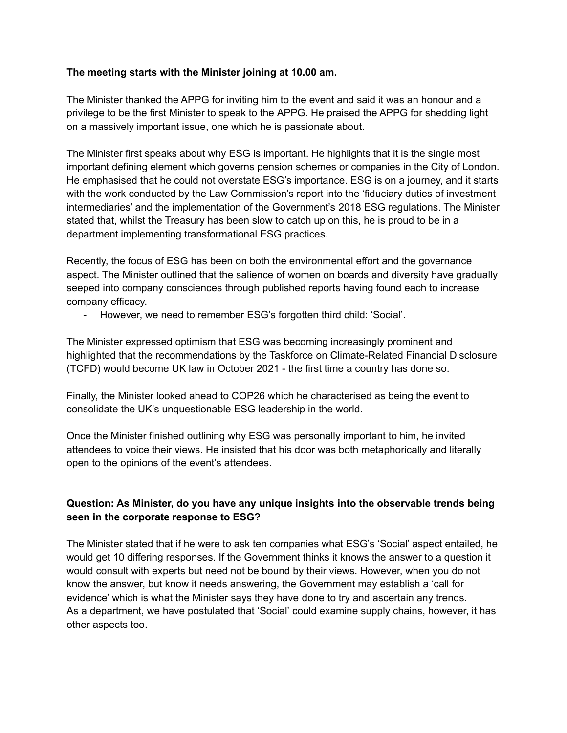#### **The meeting starts with the Minister joining at 10.00 am.**

The Minister thanked the APPG for inviting him to the event and said it was an honour and a privilege to be the first Minister to speak to the APPG. He praised the APPG for shedding light on a massively important issue, one which he is passionate about.

The Minister first speaks about why ESG is important. He highlights that it is the single most important defining element which governs pension schemes or companies in the City of London. He emphasised that he could not overstate ESG's importance. ESG is on a journey, and it starts with the work conducted by the Law Commission's report into the 'fiduciary duties of investment intermediaries' and the implementation of the Government's 2018 ESG regulations. The Minister stated that, whilst the Treasury has been slow to catch up on this, he is proud to be in a department implementing transformational ESG practices.

Recently, the focus of ESG has been on both the environmental effort and the governance aspect. The Minister outlined that the salience of women on boards and diversity have gradually seeped into company consciences through published reports having found each to increase company efficacy.

- However, we need to remember ESG's forgotten third child: 'Social'.

The Minister expressed optimism that ESG was becoming increasingly prominent and highlighted that the recommendations by the Taskforce on Climate-Related Financial Disclosure (TCFD) would become UK law in October 2021 - the first time a country has done so.

Finally, the Minister looked ahead to COP26 which he characterised as being the event to consolidate the UK's unquestionable ESG leadership in the world.

Once the Minister finished outlining why ESG was personally important to him, he invited attendees to voice their views. He insisted that his door was both metaphorically and literally open to the opinions of the event's attendees.

# **Question: As Minister, do you have any unique insights into the observable trends being seen in the corporate response to ESG?**

The Minister stated that if he were to ask ten companies what ESG's 'Social' aspect entailed, he would get 10 differing responses. If the Government thinks it knows the answer to a question it would consult with experts but need not be bound by their views. However, when you do not know the answer, but know it needs answering, the Government may establish a 'call for evidence' which is what the Minister says they have done to try and ascertain any trends. As a department, we have postulated that 'Social' could examine supply chains, however, it has other aspects too.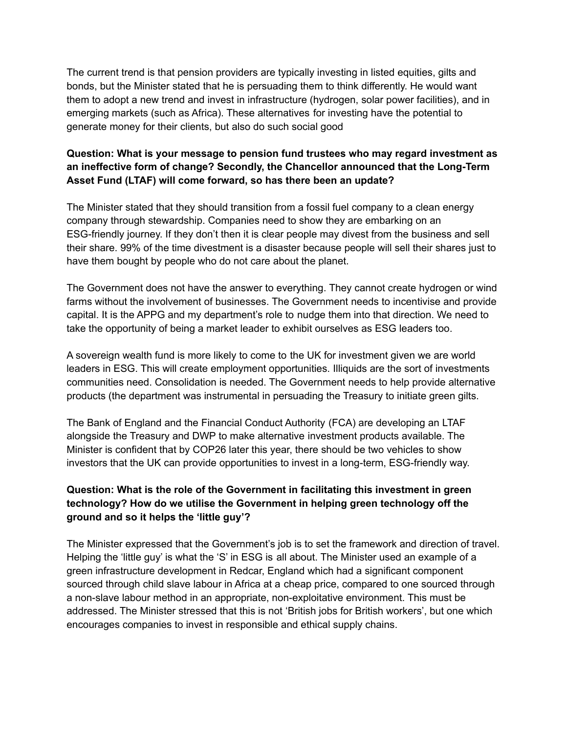The current trend is that pension providers are typically investing in listed equities, gilts and bonds, but the Minister stated that he is persuading them to think differently. He would want them to adopt a new trend and invest in infrastructure (hydrogen, solar power facilities), and in emerging markets (such as Africa). These alternatives for investing have the potential to generate money for their clients, but also do such social good

# **Question: What is your message to pension fund trustees who may regard investment as an ineffective form of change? Secondly, the Chancellor announced that the Long-Term Asset Fund (LTAF) will come forward, so has there been an update?**

The Minister stated that they should transition from a fossil fuel company to a clean energy company through stewardship. Companies need to show they are embarking on an ESG-friendly journey. If they don't then it is clear people may divest from the business and sell their share. 99% of the time divestment is a disaster because people will sell their shares just to have them bought by people who do not care about the planet.

The Government does not have the answer to everything. They cannot create hydrogen or wind farms without the involvement of businesses. The Government needs to incentivise and provide capital. It is the APPG and my department's role to nudge them into that direction. We need to take the opportunity of being a market leader to exhibit ourselves as ESG leaders too.

A sovereign wealth fund is more likely to come to the UK for investment given we are world leaders in ESG. This will create employment opportunities. Illiquids are the sort of investments communities need. Consolidation is needed. The Government needs to help provide alternative products (the department was instrumental in persuading the Treasury to initiate green gilts.

The Bank of England and the Financial Conduct Authority (FCA) are developing an LTAF alongside the Treasury and DWP to make alternative investment products available. The Minister is confident that by COP26 later this year, there should be two vehicles to show investors that the UK can provide opportunities to invest in a long-term, ESG-friendly way.

# **Question: What is the role of the Government in facilitating this investment in green technology? How do we utilise the Government in helping green technology off the ground and so it helps the 'little guy'?**

The Minister expressed that the Government's job is to set the framework and direction of travel. Helping the 'little guy' is what the 'S' in ESG is all about. The Minister used an example of a green infrastructure development in Redcar, England which had a significant component sourced through child slave labour in Africa at a cheap price, compared to one sourced through a non-slave labour method in an appropriate, non-exploitative environment. This must be addressed. The Minister stressed that this is not 'British jobs for British workers', but one which encourages companies to invest in responsible and ethical supply chains.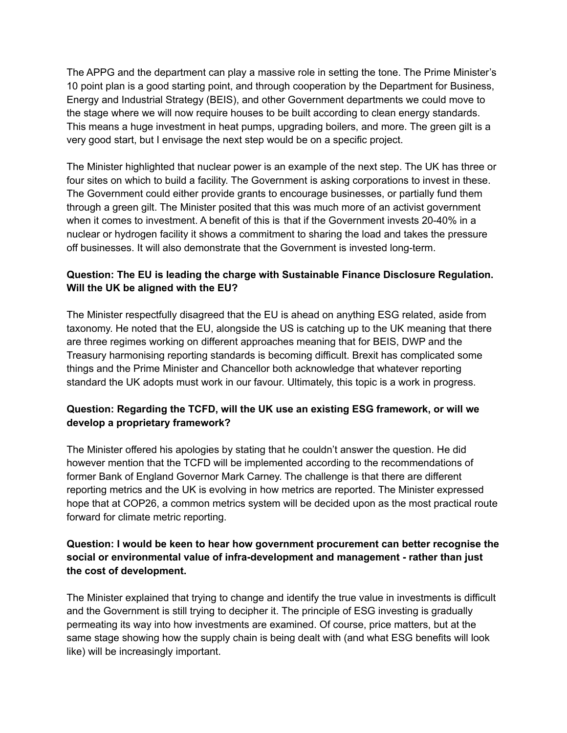The APPG and the department can play a massive role in setting the tone. The Prime Minister's 10 point plan is a good starting point, and through cooperation by the Department for Business, Energy and Industrial Strategy (BEIS), and other Government departments we could move to the stage where we will now require houses to be built according to clean energy standards. This means a huge investment in heat pumps, upgrading boilers, and more. The green gilt is a very good start, but I envisage the next step would be on a specific project.

The Minister highlighted that nuclear power is an example of the next step. The UK has three or four sites on which to build a facility. The Government is asking corporations to invest in these. The Government could either provide grants to encourage businesses, or partially fund them through a green gilt. The Minister posited that this was much more of an activist government when it comes to investment. A benefit of this is that if the Government invests 20-40% in a nuclear or hydrogen facility it shows a commitment to sharing the load and takes the pressure off businesses. It will also demonstrate that the Government is invested long-term.

# **Question: The EU is leading the charge with Sustainable Finance Disclosure Regulation. Will the UK be aligned with the EU?**

The Minister respectfully disagreed that the EU is ahead on anything ESG related, aside from taxonomy. He noted that the EU, alongside the US is catching up to the UK meaning that there are three regimes working on different approaches meaning that for BEIS, DWP and the Treasury harmonising reporting standards is becoming difficult. Brexit has complicated some things and the Prime Minister and Chancellor both acknowledge that whatever reporting standard the UK adopts must work in our favour. Ultimately, this topic is a work in progress.

#### **Question: Regarding the TCFD, will the UK use an existing ESG framework, or will we develop a proprietary framework?**

The Minister offered his apologies by stating that he couldn't answer the question. He did however mention that the TCFD will be implemented according to the recommendations of former Bank of England Governor Mark Carney. The challenge is that there are different reporting metrics and the UK is evolving in how metrics are reported. The Minister expressed hope that at COP26, a common metrics system will be decided upon as the most practical route forward for climate metric reporting.

#### **Question: I would be keen to hear how government procurement can better recognise the social or environmental value of infra-development and management - rather than just the cost of development.**

The Minister explained that trying to change and identify the true value in investments is difficult and the Government is still trying to decipher it. The principle of ESG investing is gradually permeating its way into how investments are examined. Of course, price matters, but at the same stage showing how the supply chain is being dealt with (and what ESG benefits will look like) will be increasingly important.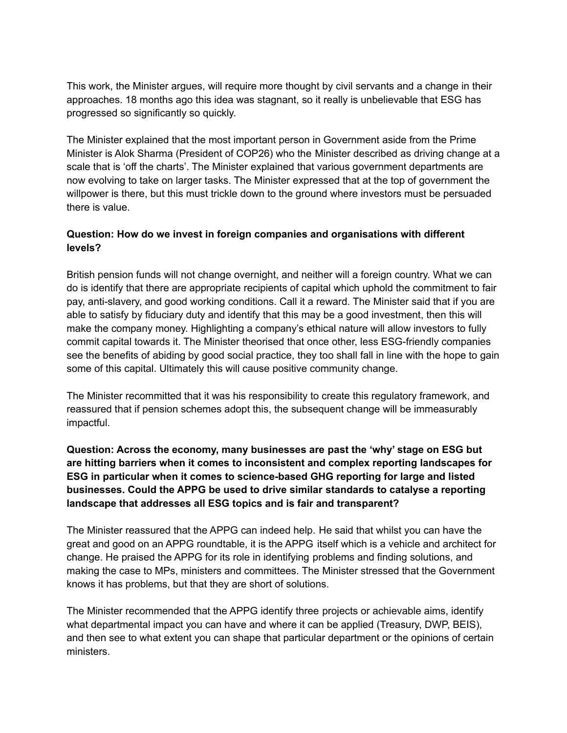This work, the Minister argues, will require more thought by civil servants and a change in their approaches. 18 months ago this idea was stagnant, so it really is unbelievable that ESG has progressed so significantly so quickly.

The Minister explained that the most important person in Government aside from the Prime Minister is Alok Sharma (President of COP26) who the Minister described as driving change at a scale that is 'off the charts'. The Minister explained that various government departments are now evolving to take on larger tasks. The Minister expressed that at the top of government the willpower is there, but this must trickle down to the ground where investors must be persuaded there is value.

# **Question: How do we invest in foreign companies and organisations with different levels?**

British pension funds will not change overnight, and neither will a foreign country. What we can do is identify that there are appropriate recipients of capital which uphold the commitment to fair pay, anti-slavery, and good working conditions. Call it a reward. The Minister said that if you are able to satisfy by fiduciary duty and identify that this may be a good investment, then this will make the company money. Highlighting a company's ethical nature will allow investors to fully commit capital towards it. The Minister theorised that once other, less ESG-friendly companies see the benefits of abiding by good social practice, they too shall fall in line with the hope to gain some of this capital. Ultimately this will cause positive community change.

The Minister recommitted that it was his responsibility to create this regulatory framework, and reassured that if pension schemes adopt this, the subsequent change will be immeasurably impactful.

# **Question: Across the economy, many businesses are past the 'why' stage on ESG but are hitting barriers when it comes to inconsistent and complex reporting landscapes for ESG in particular when it comes to science-based GHG reporting for large and listed businesses. Could the APPG be used to drive similar standards to catalyse a reporting landscape that addresses all ESG topics and is fair and transparent?**

The Minister reassured that the APPG can indeed help. He said that whilst you can have the great and good on an APPG roundtable, it is the APPG itself which is a vehicle and architect for change. He praised the APPG for its role in identifying problems and finding solutions, and making the case to MPs, ministers and committees. The Minister stressed that the Government knows it has problems, but that they are short of solutions.

The Minister recommended that the APPG identify three projects or achievable aims, identify what departmental impact you can have and where it can be applied (Treasury, DWP, BEIS), and then see to what extent you can shape that particular department or the opinions of certain ministers.